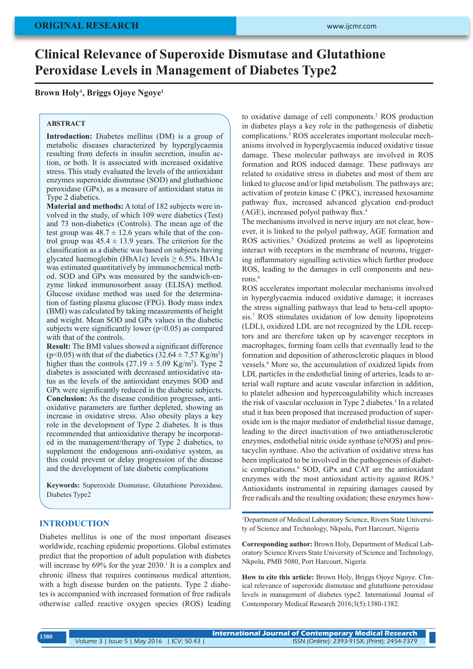# **Clinical Relevance of Superoxide Dismutase and Glutathione Peroxidase Levels in Management of Diabetes Type2**

**Brown Holy1 , Briggs Ojoye Ngoye1**

#### **ABSTRACT**

**Introduction:** Diabetes mellitus (DM) is a group of metabolic diseases characterized by hyperglycaemia resulting from defects in insulin secretion, insulin action, or both. It is associated with increased oxidative stress. This study evaluated the levels of the antioxidant enzymes superoxide dismutase (SOD) and gluthathione peroxidase (GPx), as a measure of antioxidant status in Type 2 diabetics.

**Material and methods:** A total of 182 subjects were involved in the study, of which 109 were diabetics (Test) and 73 non-diabetics (Controls). The mean age of the test group was  $48.7 \pm 12.6$  years while that of the control group was  $45.4 \pm 13.9$  years. The criterion for the classification as a diabetic was based on subjects having glycated haemoglobin (HbA1c) levels  $\geq$  6.5%. HbA1c was estimated quantitatively by immunochemical method. SOD and GPx was measured by the sandwich-enzyme linked immunosorbent assay (ELISA) method. Glucose oxidase method was used for the determination of fasting plasma glucose (FPG). Body mass index (BMI) was calculated by taking measurements of height and weight. Mean SOD and GPx values in the diabetic subjects were significantly lower ( $p<0.05$ ) as compared with that of the controls.

**Result:** The BMI values showed a significant difference  $(p<0.05)$  with that of the diabetics  $(32.64 \pm 7.57 \text{ kg/m}^2)$ higher than the controls  $(27.19 \pm 5.09 \text{ Kg/m}^2)$ . Type 2 diabetes is associated with decreased antioxidative status as the levels of the antioxidant enzymes SOD and GPx were significantly reduced in the diabetic subjects. **Conclusion:** As the disease condition progresses, antioxidative parameters are further depleted, showing an increase in oxidative stress. Also obesity plays a key role in the development of Type 2 diabetes. It is thus recommended that antioxidative therapy be incorporated in the management/therapy of Type 2 diabetics, to supplement the endogenous anti-oxidative system, as this could prevent or delay progression of the disease and the development of late diabetic complications

**Keywords:** Superoxide Dismutase, Glutathione Peroxidase, Diabetes Type2

#### **INTRODUCTION**

Diabetes mellitus is one of the most important diseases worldwide, reaching epidemic proportions. Global estimates predict that the proportion of adult population with diabetes will increase by  $69\%$  for the year  $2030$ .<sup>1</sup> It is a complex and chronic illness that requires continuous medical attention, with a high disease burden on the patients. Type 2 diabetes is accompanied with increased formation of free radicals otherwise called reactive oxygen species (ROS) leading

to oxidative damage of cell components.<sup>2</sup> ROS production in diabetes plays a key role in the pathogenesis of diabetic complications.3 ROS accelerates important molecular mechanisms involved in hyperglycaemia induced oxidative tissue damage. These molecular pathways are involved in ROS formation and ROS induced damage. These pathways are related to oxidative stress in diabetes and most of them are linked to glucose and/or lipid metabolism. The pathways are; activation of protein kinase C (PKC), increased hexosamine pathway flux, increased advanced glycation end-product (AGE), increased polyol pathway flux.<sup>4</sup>

The mechanisms involved in nerve injury are not clear, however, it is linked to the polyol pathway, AGE formation and ROS activities.<sup>5</sup> Oxidized proteins as well as lipoproteins interact with receptors in the membrane of neurons, triggering inflammatory signalling activities which further produce ROS, leading to the damages in cell components and neurons. 6

ROS accelerates important molecular mechanisms involved in hyperglycaemia induced oxidative damage; it increases the stress signalling pathways that lead to beta-cell apoptosis.7 ROS stimulates oxidation of low density lipoproteins (LDL), oxidized LDL are not recognized by the LDL receptors and are therefore taken up by scavenger receptors in macrophages, forming foam cells that eventually lead to the formation and deposition of atherosclerotic plaques in blood vessels. 8 More so, the accumulation of oxidized lipids from LDL particles in the endothelial lining of arteries, leads to arterial wall rupture and acute vascular infarction in addition, to platelet adhesion and hypercoagulability which increases the risk of vascular occlusion in Type 2 diabetes. 5 In a related stud it has been proposed that increased production of superoxide ion is the major mediator of endothelial tissue damage, leading to the direct inactivation of two antiatherosclerotic enzymes, endothelial nitric oxide synthase (eNOS) and prostacyclin synthase. Also the activation of oxidative stress has been implicated to be involved in the pathogenesis of diabetic complications.9 SOD, GPx and CAT are the antioxidant enzymes with the most antioxidant activity against ROS.<sup>9</sup> Antioxidants instrumental in repairing damages caused by free radicals and the resulting oxidation; these enzymes how-

1 Department of Medical Laboratory Science, Rivers State University of Science and Technology, Nkpolu, Port Harcourt, Nigeria

**Corresponding author:** Brown Holy, Department of Medical Laboratory Science Rivers State University of Science and Technology, Nkpolu, PMB 5080, Port Harcourt, Nigeria

**How to cite this article:** Brown Holy, Briggs Ojoye Ngoye. Clinical relevance of superoxide dismutase and glutathione peroxidase levels in management of diabetes type2. International Journal of Contemporary Medical Research 2016;3(5):1380-1382.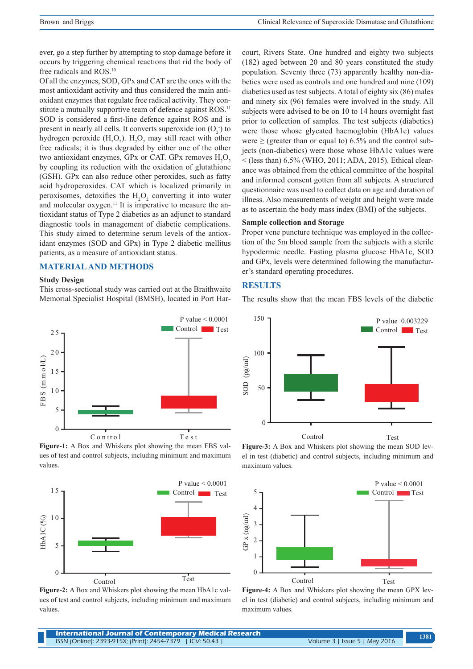ever, go a step further by attempting to stop damage before it occurs by triggering chemical reactions that rid the body of free radicals and ROS.10

Of all the enzymes, SOD, GPx and CAT are the ones with the most antioxidant activity and thus considered the main antioxidant enzymes that regulate free radical activity. They constitute a mutually supportive team of defence against ROS.<sup>11</sup> SOD is considered a first-line defence against ROS and is present in nearly all cells. It converts superoxide ion  $(O_2)$  to hydrogen peroxide  $(H_2O_2)$ .  $H_2O_2$  may still react with other free radicals; it is thus degraded by either one of the other two antioxidant enzymes, GPx or CAT. GPx removes  $H_2O_2$ by coupling its reduction with the oxidation of glutathione (GSH). GPx can also reduce other peroxides, such as fatty acid hydroperoxides. CAT which is localized primarily in peroxisomes, detoxifies the  $H_2O_2$  converting it into water and molecular oxygen.<sup>11</sup> It is imperative to measure the antioxidant status of Type 2 diabetics as an adjunct to standard diagnostic tools in management of diabetic complications. This study aimed to determine serum levels of the antioxidant enzymes (SOD and GPx) in Type 2 diabetic mellitus patients, as a measure of antioxidant status.

## **MATERIAL AND METHODS**

#### **Study Design**

This cross-sectional study was carried out at the Braithwaite Memorial Specialist Hospital (BMSH), located in Port Har-



**Figure-1:** A Box and Whiskers plot showing the mean FBS values of test and control subjects, including minimum and maximum values.



**Figure-2:** A Box and Whiskers plot showing the mean HbA1c values of test and control subjects, including minimum and maximum values.

court, Rivers State. One hundred and eighty two subjects (182) aged between 20 and 80 years constituted the study population. Seventy three (73) apparently healthy non-diabetics were used as controls and one hundred and nine (109) diabetics used as test subjects. A total of eighty six (86) males and ninety six (96) females were involved in the study. All subjects were advised to be on 10 to 14 hours overnight fast prior to collection of samples. The test subjects (diabetics) were those whose glycated haemoglobin (HbA1c) values were  $\geq$  (greater than or equal to) 6.5% and the control subjects (non-diabetics) were those whose HbA1c values were  $<$  (less than) 6.5% (WHO, 2011; ADA, 2015). Ethical clearance was obtained from the ethical committee of the hospital and informed consent gotten from all subjects. A structured questionnaire was used to collect data on age and duration of illness. Also measurements of weight and height were made as to ascertain the body mass index (BMI) of the subjects.

#### **Sample collection and Storage**

Proper vene puncture technique was employed in the collection of the 5m blood sample from the subjects with a sterile hypodermic needle. Fasting plasma glucose HbA1c, SOD and GPx, levels were determined following the manufacturer's standard operating procedures.

## **RESULTS**

The results show that the mean FBS levels of the diabetic



**Figure-3:** A Box and Whiskers plot showing the mean SOD level in test (diabetic) and control subjects, including minimum and maximum values.



**Figure-4:** A Box and Whiskers plot showing the mean GPX level in test (diabetic) and control subjects, including minimum and maximum values.